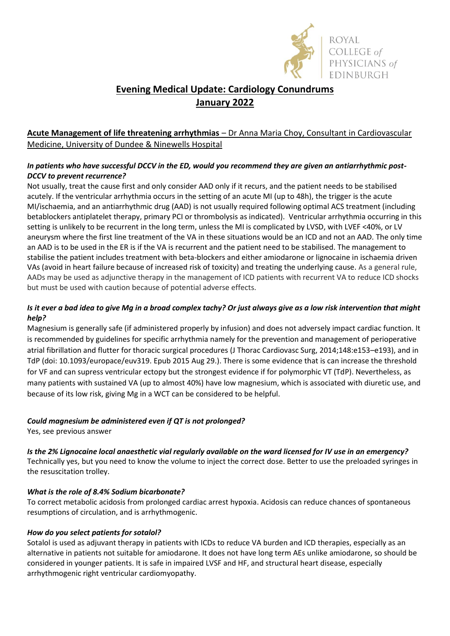

# **Evening Medical Update: Cardiology Conundrums January 2022**

## **Acute Management of life threatening arrhythmias** – Dr Anna Maria Choy, Consultant in Cardiovascular Medicine, University of Dundee & Ninewells Hospital

## *In patients who have successful DCCV in the ED, would you recommend they are given an antiarrhythmic post-DCCV to prevent recurrence?*

Not usually, treat the cause first and only consider AAD only if it recurs, and the patient needs to be stabilised acutely. If the ventricular arrhythmia occurs in the setting of an acute MI (up to 48h), the trigger is the acute MI/ischaemia, and an antiarrhythmic drug (AAD) is not usually required following optimal ACS treatment (including betablockers antiplatelet therapy, primary PCI or thrombolysis as indicated). Ventricular arrhythmia occurring in this setting is unlikely to be recurrent in the long term, unless the MI is complicated by LVSD, with LVEF <40%, or LV aneurysm where the first line treatment of the VA in these situations would be an ICD and not an AAD. The only time an AAD is to be used in the ER is if the VA is recurrent and the patient need to be stabilised. The management to stabilise the patient includes treatment with beta-blockers and either amiodarone or lignocaine in ischaemia driven VAs (avoid in heart failure because of increased risk of toxicity) and treating the underlying cause. As a general rule, AADs may be used as adjunctive therapy in the management of ICD patients with recurrent VA to reduce ICD shocks but must be used with caution because of potential adverse effects.

## *Is it ever a bad idea to give Mg in a broad complex tachy? Or just always give as a low risk intervention that might help?*

Magnesium is generally safe (if administered properly by infusion) and does not adversely impact cardiac function. It is recommended by guidelines for specific arrhythmia namely for the prevention and management of perioperative atrial fibrillation and flutter for thoracic surgical procedures (J Thorac Cardiovasc Surg, 2014;148:e153–e193), and in TdP (doi: 10.1093/europace/euv319. Epub 2015 Aug 29.). There is some evidence that is can increase the threshold for VF and can supress ventricular ectopy but the strongest evidence if for polymorphic VT (TdP). Nevertheless, as many patients with sustained VA (up to almost 40%) have low magnesium, which is associated with diuretic use, and because of its low risk, giving Mg in a WCT can be considered to be helpful.

## *Could magnesium be administered even if QT is not prolonged?*

Yes, see previous answer

*Is the 2% Lignocaine local anaesthetic vial regularly available on the ward licensed for IV use in an emergency?*

Technically yes, but you need to know the volume to inject the correct dose. Better to use the preloaded syringes in the resuscitation trolley.

## *What is the role of 8.4% Sodium bicarbonate?*

To correct metabolic acidosis from prolonged cardiac arrest hypoxia. Acidosis can reduce chances of spontaneous resumptions of circulation, and is arrhythmogenic.

## *How do you select patients for sotalol?*

Sotalol is used as adjuvant therapy in patients with ICDs to reduce VA burden and ICD therapies, especially as an alternative in patients not suitable for amiodarone. It does not have long term AEs unlike amiodarone, so should be considered in younger patients. It is safe in impaired LVSF and HF, and structural heart disease, especially arrhythmogenic right ventricular cardiomyopathy.